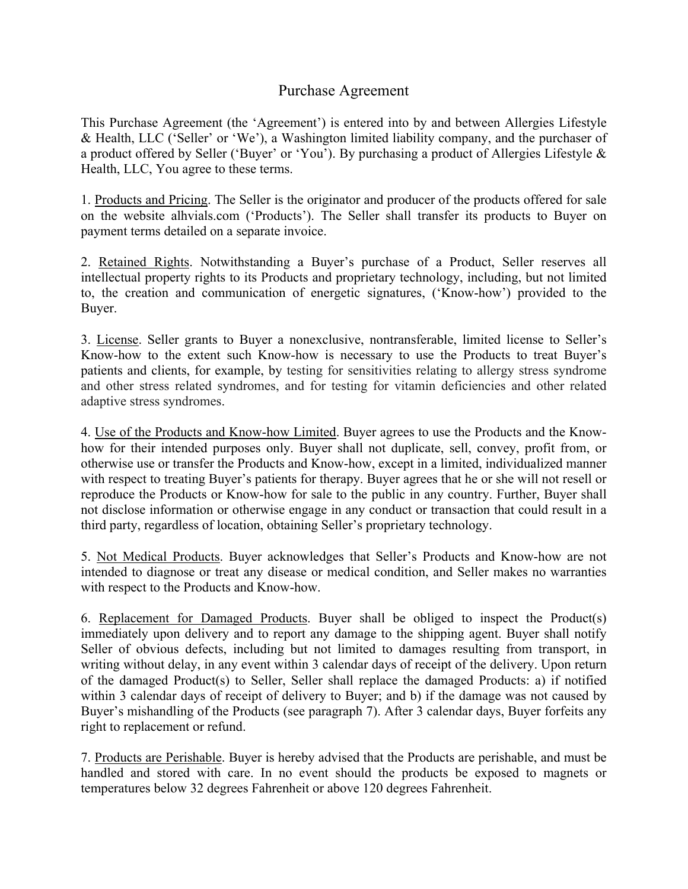## Purchase Agreement

This Purchase Agreement (the 'Agreement') is entered into by and between Allergies Lifestyle & Health, LLC ('Seller' or 'We'), a Washington limited liability company, and the purchaser of a product offered by Seller ('Buyer' or 'You'). By purchasing a product of Allergies Lifestyle & Health, LLC, You agree to these terms.

1. Products and Pricing. The Seller is the originator and producer of the products offered for sale on the website alhvials.com ('Products'). The Seller shall transfer its products to Buyer on payment terms detailed on a separate invoice.

2. Retained Rights. Notwithstanding a Buyer's purchase of a Product, Seller reserves all intellectual property rights to its Products and proprietary technology, including, but not limited to, the creation and communication of energetic signatures, ('Know-how') provided to the Buyer.

3. License. Seller grants to Buyer a nonexclusive, nontransferable, limited license to Seller's Know-how to the extent such Know-how is necessary to use the Products to treat Buyer's patients and clients, for example, by testing for sensitivities relating to allergy stress syndrome and other stress related syndromes, and for testing for vitamin deficiencies and other related adaptive stress syndromes.

4. Use of the Products and Know-how Limited. Buyer agrees to use the Products and the Knowhow for their intended purposes only. Buyer shall not duplicate, sell, convey, profit from, or otherwise use or transfer the Products and Know-how, except in a limited, individualized manner with respect to treating Buyer's patients for therapy. Buyer agrees that he or she will not resell or reproduce the Products or Know-how for sale to the public in any country. Further, Buyer shall not disclose information or otherwise engage in any conduct or transaction that could result in a third party, regardless of location, obtaining Seller's proprietary technology.

5. Not Medical Products. Buyer acknowledges that Seller's Products and Know-how are not intended to diagnose or treat any disease or medical condition, and Seller makes no warranties with respect to the Products and Know-how.

6. Replacement for Damaged Products. Buyer shall be obliged to inspect the Product(s) immediately upon delivery and to report any damage to the shipping agent. Buyer shall notify Seller of obvious defects, including but not limited to damages resulting from transport, in writing without delay, in any event within 3 calendar days of receipt of the delivery. Upon return of the damaged Product(s) to Seller, Seller shall replace the damaged Products: a) if notified within 3 calendar days of receipt of delivery to Buyer; and b) if the damage was not caused by Buyer's mishandling of the Products (see paragraph 7). After 3 calendar days, Buyer forfeits any right to replacement or refund.

7. Products are Perishable. Buyer is hereby advised that the Products are perishable, and must be handled and stored with care. In no event should the products be exposed to magnets or temperatures below 32 degrees Fahrenheit or above 120 degrees Fahrenheit.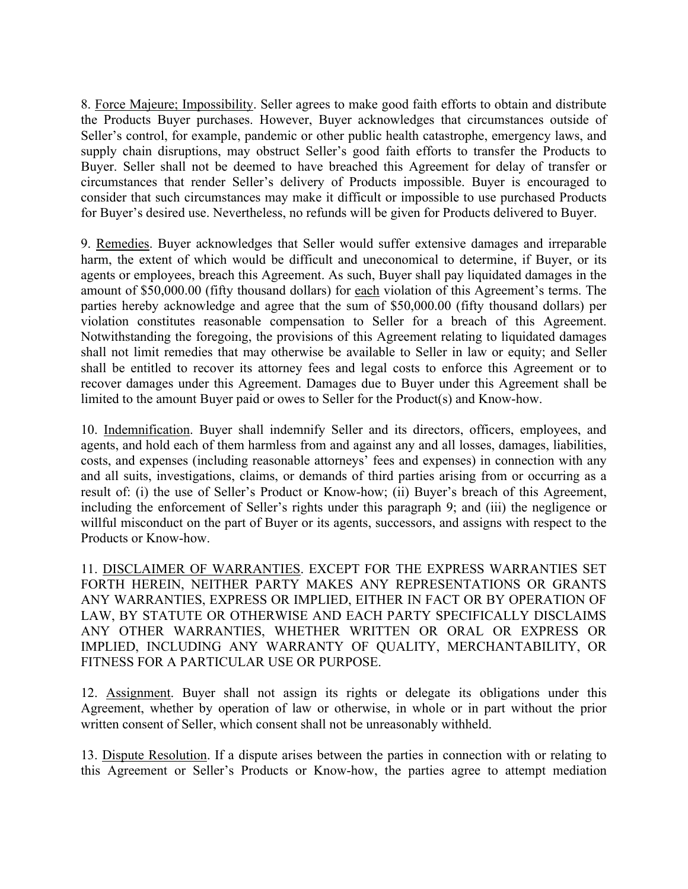8. Force Majeure; Impossibility. Seller agrees to make good faith efforts to obtain and distribute the Products Buyer purchases. However, Buyer acknowledges that circumstances outside of Seller's control, for example, pandemic or other public health catastrophe, emergency laws, and supply chain disruptions, may obstruct Seller's good faith efforts to transfer the Products to Buyer. Seller shall not be deemed to have breached this Agreement for delay of transfer or circumstances that render Seller's delivery of Products impossible. Buyer is encouraged to consider that such circumstances may make it difficult or impossible to use purchased Products for Buyer's desired use. Nevertheless, no refunds will be given for Products delivered to Buyer.

9. Remedies. Buyer acknowledges that Seller would suffer extensive damages and irreparable harm, the extent of which would be difficult and uneconomical to determine, if Buyer, or its agents or employees, breach this Agreement. As such, Buyer shall pay liquidated damages in the amount of \$50,000.00 (fifty thousand dollars) for each violation of this Agreement's terms. The parties hereby acknowledge and agree that the sum of \$50,000.00 (fifty thousand dollars) per violation constitutes reasonable compensation to Seller for a breach of this Agreement. Notwithstanding the foregoing, the provisions of this Agreement relating to liquidated damages shall not limit remedies that may otherwise be available to Seller in law or equity; and Seller shall be entitled to recover its attorney fees and legal costs to enforce this Agreement or to recover damages under this Agreement. Damages due to Buyer under this Agreement shall be limited to the amount Buyer paid or owes to Seller for the Product(s) and Know-how.

10. Indemnification. Buyer shall indemnify Seller and its directors, officers, employees, and agents, and hold each of them harmless from and against any and all losses, damages, liabilities, costs, and expenses (including reasonable attorneys' fees and expenses) in connection with any and all suits, investigations, claims, or demands of third parties arising from or occurring as a result of: (i) the use of Seller's Product or Know-how; (ii) Buyer's breach of this Agreement, including the enforcement of Seller's rights under this paragraph 9; and (iii) the negligence or willful misconduct on the part of Buyer or its agents, successors, and assigns with respect to the Products or Know-how.

11. DISCLAIMER OF WARRANTIES. EXCEPT FOR THE EXPRESS WARRANTIES SET FORTH HEREIN, NEITHER PARTY MAKES ANY REPRESENTATIONS OR GRANTS ANY WARRANTIES, EXPRESS OR IMPLIED, EITHER IN FACT OR BY OPERATION OF LAW, BY STATUTE OR OTHERWISE AND EACH PARTY SPECIFICALLY DISCLAIMS ANY OTHER WARRANTIES, WHETHER WRITTEN OR ORAL OR EXPRESS OR IMPLIED, INCLUDING ANY WARRANTY OF QUALITY, MERCHANTABILITY, OR FITNESS FOR A PARTICULAR USE OR PURPOSE.

12. Assignment. Buyer shall not assign its rights or delegate its obligations under this Agreement, whether by operation of law or otherwise, in whole or in part without the prior written consent of Seller, which consent shall not be unreasonably withheld.

13. Dispute Resolution. If a dispute arises between the parties in connection with or relating to this Agreement or Seller's Products or Know-how, the parties agree to attempt mediation